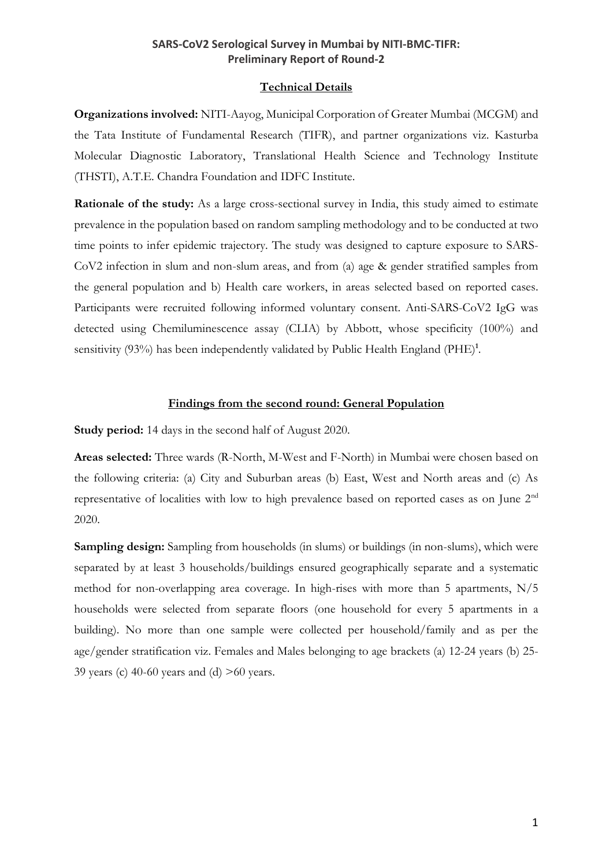#### **Technical Details**

**Organizations involved:** NITI-Aayog, Municipal Corporation of Greater Mumbai (MCGM) and the Tata Institute of Fundamental Research (TIFR), and partner organizations viz. Kasturba Molecular Diagnostic Laboratory, Translational Health Science and Technology Institute (THSTI), A.T.E. Chandra Foundation and IDFC Institute.

**Rationale of the study:** As a large cross-sectional survey in India, this study aimed to estimate prevalence in the population based on random sampling methodology and to be conducted at two time points to infer epidemic trajectory. The study was designed to capture exposure to SARS-CoV2 infection in slum and non-slum areas, and from (a) age & gender stratified samples from the general population and b) Health care workers, in areas selected based on reported cases. Participants were recruited following informed voluntary consent. Anti-SARS-CoV2 IgG was detected using Chemiluminescence assay (CLIA) by Abbott, whose specificity (100%) and sensitivity (93%) has been independently validated by Public Health England (PHE)<sup>1</sup>.

#### **Findings from the second round: General Population**

**Study period:** 14 days in the second half of August 2020.

**Areas selected:** Three wards (R-North, M-West and F-North) in Mumbai were chosen based on the following criteria: (a) City and Suburban areas (b) East, West and North areas and (c) As representative of localities with low to high prevalence based on reported cases as on June 2nd 2020.

**Sampling design:** Sampling from households (in slums) or buildings (in non-slums), which were separated by at least 3 households/buildings ensured geographically separate and a systematic method for non-overlapping area coverage. In high-rises with more than 5 apartments, N/5 households were selected from separate floors (one household for every 5 apartments in a building). No more than one sample were collected per household/family and as per the age/gender stratification viz. Females and Males belonging to age brackets (a) 12-24 years (b) 25- 39 years (c) 40-60 years and (d)  $>60$  years.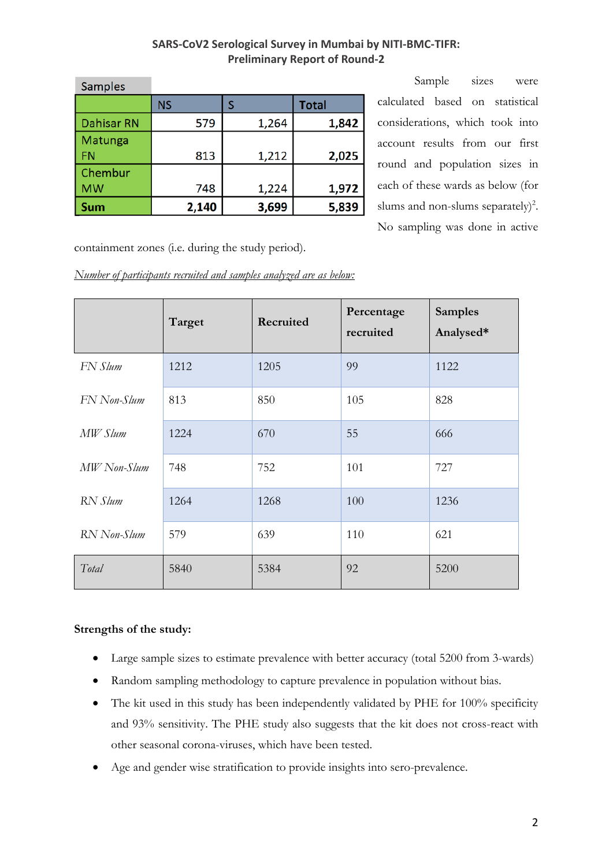| <b>Samples</b>       |           |       |              |
|----------------------|-----------|-------|--------------|
|                      | <b>NS</b> |       | <b>Total</b> |
| <b>Dahisar RN</b>    | 579       | 1,264 | 1,842        |
| Matunga<br><b>FN</b> | 813       | 1,212 | 2,025        |
| Chembur<br><b>MW</b> | 748       | 1,224 | 1,972        |
| Sum                  | 2,140     | 3,699 | 5,839        |

Sample sizes were calculated based on statistical considerations, which took into account results from our first round and population sizes in each of these wards as below (for slums and non-slums separately)<sup>2</sup>. No sampling was done in active

containment zones (i.e. during the study period).

*Number of participants recruited and samples analyzed are as below:*

|             | Target | Recruited | Percentage<br>recruited | <b>Samples</b><br>Analysed* |
|-------------|--------|-----------|-------------------------|-----------------------------|
| FN Slum     | 1212   | 1205      | 99                      | 1122                        |
| FN Non-Slum | 813    | 850       | 105                     | 828                         |
| MW Slum     | 1224   | 670       | 55                      | 666                         |
| MW Non-Slum | 748    | 752       | 101                     | 727                         |
| RN Slum     | 1264   | 1268      | 100                     | 1236                        |
| RN Non-Slum | 579    | 639       | 110                     | 621                         |
| Total       | 5840   | 5384      | 92                      | 5200                        |

## **Strengths of the study:**

- Large sample sizes to estimate prevalence with better accuracy (total 5200 from 3-wards)
- Random sampling methodology to capture prevalence in population without bias.
- The kit used in this study has been independently validated by PHE for 100% specificity and 93% sensitivity. The PHE study also suggests that the kit does not cross-react with other seasonal corona-viruses, which have been tested.
- Age and gender wise stratification to provide insights into sero-prevalence.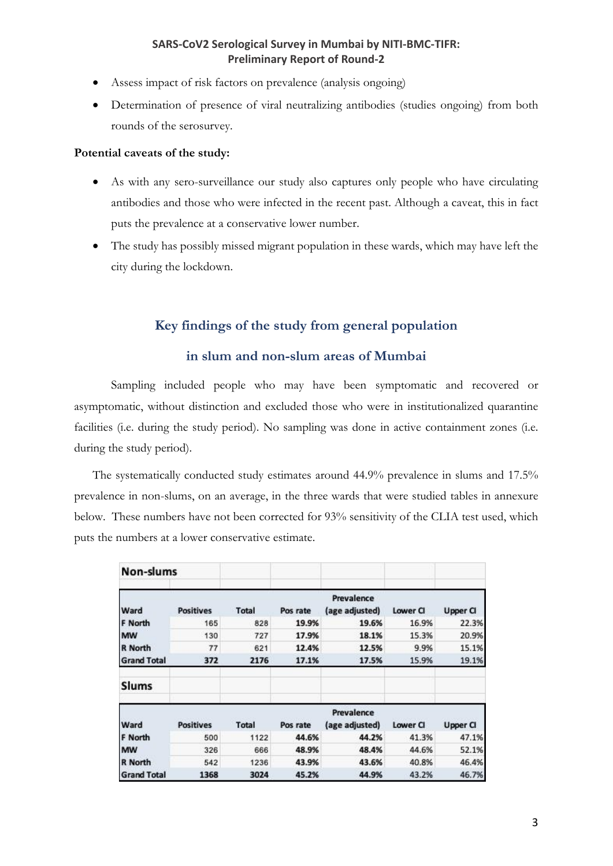- Assess impact of risk factors on prevalence (analysis ongoing)
- Determination of presence of viral neutralizing antibodies (studies ongoing) from both rounds of the serosurvey.

#### **Potential caveats of the study:**

- As with any sero-surveillance our study also captures only people who have circulating antibodies and those who were infected in the recent past. Although a caveat, this in fact puts the prevalence at a conservative lower number.
- The study has possibly missed migrant population in these wards, which may have left the city during the lockdown.

# **Key findings of the study from general population**

## **in slum and non-slum areas of Mumbai**

Sampling included people who may have been symptomatic and recovered or asymptomatic, without distinction and excluded those who were in institutionalized quarantine facilities (i.e. during the study period). No sampling was done in active containment zones (i.e. during the study period).

The systematically conducted study estimates around 44.9% prevalence in slums and 17.5% prevalence in non-slums, on an average, in the three wards that were studied tables in annexure below. These numbers have not been corrected for 93% sensitivity of the CLIA test used, which puts the numbers at a lower conservative estimate.

| Non-slums          |                  |              |          |                              |          |                 |
|--------------------|------------------|--------------|----------|------------------------------|----------|-----------------|
| Ward               | <b>Positives</b> | <b>Total</b> | Pos rate | Prevalence<br>(age adjusted) | Lower CI | <b>Upper CI</b> |
| F North            | 165              | 828          | 19.9%    | 19.6%                        | 16.9%    | 22.3%           |
| <b>MW</b>          | 130              | 727          | 17.9%    | 18.1%                        | 15.3%    | 20.9%           |
| <b>R</b> North     | 77               | 621          | 12.4%    | 12.5%                        | 9.9%     | 15.1%           |
| <b>Grand Total</b> | 372              | 2176         | 17.1%    | 17.5%                        | 15.9%    | 19.1%           |
| Slums              |                  |              |          |                              |          |                 |
| Ward               | <b>Positives</b> | <b>Total</b> | Pos rate | Prevalence<br>(age adjusted) | Lower CI | <b>Upper CI</b> |
| F North            | 500              | 1122         | 44.6%    | 44.2%                        | 41.3%    | 47.1%           |
| <b>MW</b>          | 326              | 666          | 48.9%    | 48.4%                        | 44.6%    | 52.1%           |
| <b>R</b> North     | 542              | 1236         | 43.9%    | 43.6%                        | 40.8%    | 46.4%           |
| <b>Grand Total</b> | 1368             | 3024         | 45.2%    | 44.9%                        | 43.2%    | 46.7%           |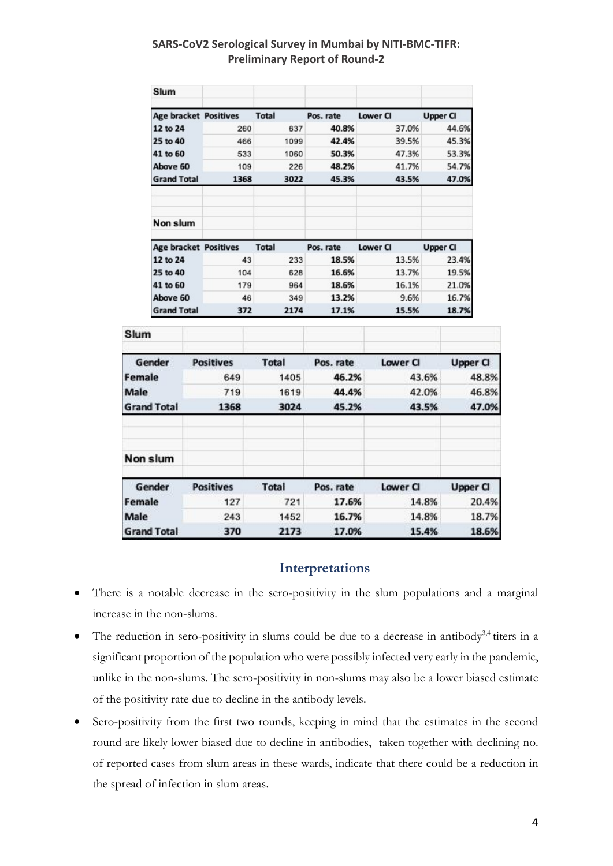| Slum                                     |      |              |           |                 |                 |
|------------------------------------------|------|--------------|-----------|-----------------|-----------------|
| <b>Age bracket Positives</b>             |      | <b>Total</b> | Pos. rate | <b>Lower CI</b> | <b>Upper CI</b> |
| 12 to 24                                 | 260  | 637          | 40.8%     | 37.0%           | 44.6%           |
| 25 to 40                                 | 466  | 1099         | 42.4%     | 39.5%           | 45.3%           |
| 41 to 60                                 | 533  | 1060         | 50.3%     | 47.3%           | 53.3%           |
| Above 60                                 | 109  | 226          | 48.2%     | 41.7%           | 54.7%           |
| <b>Grand Total</b>                       | 1368 | 3022         | 45.3%     | 43.5%           | 47.0%           |
| Non slum<br><b>Age bracket Positives</b> |      | Total        | Pos. rate | Lower CI        | Upper CI        |
| 12 to 24                                 | 43   | 233          | 18.5%     | 13.5%           | 23.4%           |
| 25 to 40                                 | 104  | 628          | 16.6%     | 13.7%           | 19.5%           |
| 41 to 60                                 | 179  | 964          | 18.6%     | 16.1%           | 21.0%           |
| Above 60                                 | 46   | 349          | 13.2%     | 9.6%            | 16.7%           |
| <b>Grand Total</b>                       | 372  | 2174         | 17.1%     | 15.5%           | 18.7%           |

| Slum               |                  |              |           |          |                 |
|--------------------|------------------|--------------|-----------|----------|-----------------|
| Gender             | <b>Positives</b> | <b>Total</b> | Pos. rate | Lower Cl | <b>Upper CI</b> |
| Female             | 649              | 1405         | 46.2%     | 43.6%    | 48.8%           |
| Male               | 719              | 1619         | 44.4%     | 42.0%    | 46.8%           |
| <b>Grand Total</b> | 1368             | 3024         | 45.2%     | 43.5%    | 47.0%           |
| Non slum           |                  |              |           |          |                 |
| Gender             | <b>Positives</b> | <b>Total</b> | Pos. rate | Lower CI | <b>Upper CI</b> |
| Female             | 127              | 721          | 17.6%     | 14.8%    | 20.4%           |
| Male               | 243              | 1452         | 16.7%     | 14.8%    | 18.7%           |
| <b>Grand Total</b> | 370              | 2173         | 17.0%     | 15.4%    | 18.6%           |

# **Interpretations**

- There is a notable decrease in the sero-positivity in the slum populations and a marginal increase in the non-slums.
- The reduction in sero-positivity in slums could be due to a decrease in antibody<sup>3,4</sup> titers in a significant proportion of the population who were possibly infected very early in the pandemic, unlike in the non-slums. The sero-positivity in non-slums may also be a lower biased estimate of the positivity rate due to decline in the antibody levels.
- Sero-positivity from the first two rounds, keeping in mind that the estimates in the second round are likely lower biased due to decline in antibodies, taken together with declining no. of reported cases from slum areas in these wards, indicate that there could be a reduction in the spread of infection in slum areas.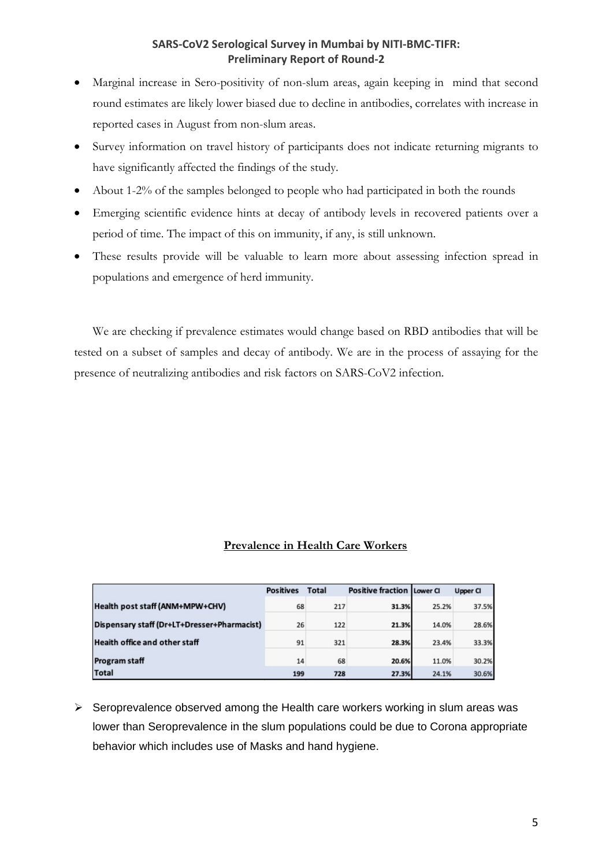- Marginal increase in Sero-positivity of non-slum areas, again keeping in mind that second round estimates are likely lower biased due to decline in antibodies, correlates with increase in reported cases in August from non-slum areas.
- Survey information on travel history of participants does not indicate returning migrants to have significantly affected the findings of the study.
- About 1-2% of the samples belonged to people who had participated in both the rounds
- Emerging scientific evidence hints at decay of antibody levels in recovered patients over a period of time. The impact of this on immunity, if any, is still unknown.
- These results provide will be valuable to learn more about assessing infection spread in populations and emergence of herd immunity.

We are checking if prevalence estimates would change based on RBD antibodies that will be tested on a subset of samples and decay of antibody. We are in the process of assaying for the presence of neutralizing antibodies and risk factors on SARS-CoV2 infection.

## **Prevalence in Health Care Workers**

|                                             | <b>Positives</b> | <b>Total</b> | <b>Positive fraction Lower CL</b> |       | <b>Upper CI</b> |
|---------------------------------------------|------------------|--------------|-----------------------------------|-------|-----------------|
| Health post staff (ANM+MPW+CHV)             | 68               | 217          | 31.3%                             | 25.2% | 37.5%           |
| Dispensary staff (Dr+LT+Dresser+Pharmacist) | 26               | 122          | 21.3%                             | 14.0% | 28.6%           |
| <b>Heaith office and other staff</b>        | 91               | 321          | 28.3%                             | 23.4% | 33.3%           |
| <b>Program staff</b>                        | 14               | 68           | 20.6%                             | 11.0% | 30.2%           |
| <b>Total</b>                                | 199              | 728          | 27.3%                             | 24.1% | 30.6%           |

 $\triangleright$  Seroprevalence observed among the Health care workers working in slum areas was lower than Seroprevalence in the slum populations could be due to Corona appropriate behavior which includes use of Masks and hand hygiene.